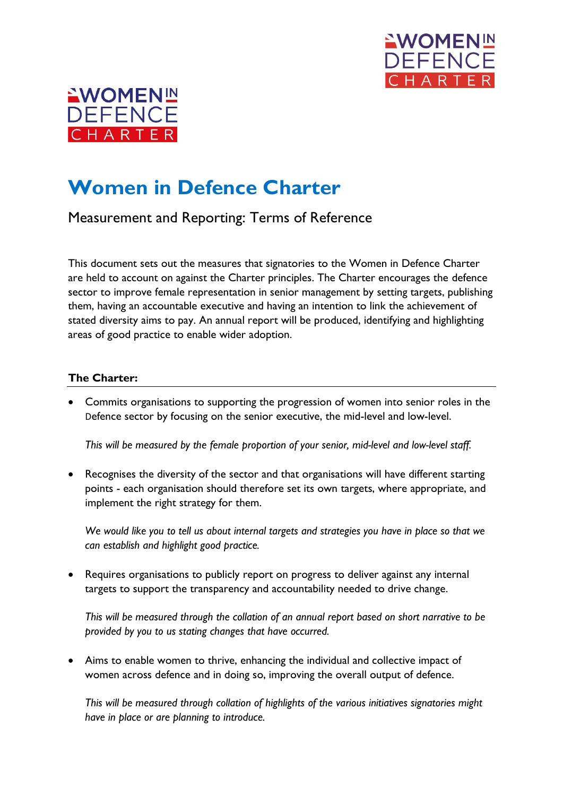



## **Women in Defence Charter**

Measurement and Reporting: Terms of Reference

This document sets out the measures that signatories to the Women in Defence Charter are held to account on against the Charter principles. The Charter encourages the defence sector to improve female representation in senior management by setting targets, publishing them, having an accountable executive and having an intention to link the achievement of stated diversity aims to pay. An annual report will be produced, identifying and highlighting areas of good practice to enable wider adoption.

## **The Charter:**

• Commits organisations to supporting the progression of women into senior roles in the Defence sector by focusing on the senior executive, the mid-level and low-level.

*This will be measured by the female proportion of your senior, mid-level and low-level staff.* 

Recognises the diversity of the sector and that organisations will have different starting points - each organisation should therefore set its own targets, where appropriate, and implement the right strategy for them.

*We would like you to tell us about internal targets and strategies you have in place so that we can establish and highlight good practice.* 

• Requires organisations to publicly report on progress to deliver against any internal targets to support the transparency and accountability needed to drive change.

*This will be measured through the collation of an annual report based on short narrative to be provided by you to us stating changes that have occurred.*

• Aims to enable women to thrive, enhancing the individual and collective impact of women across defence and in doing so, improving the overall output of defence.

*This will be measured through collation of highlights of the various initiatives signatories might have in place or are planning to introduce.*